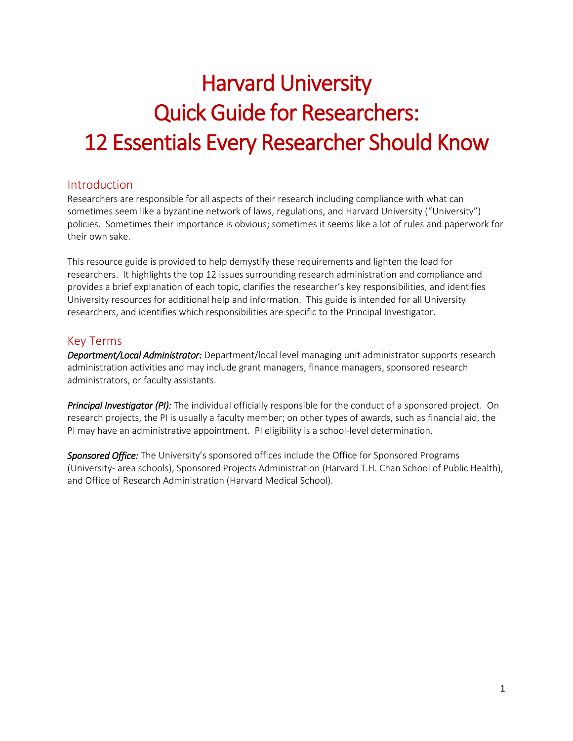# Harvard University Quick Guide for Researchers: 12 Essentials Every Researcher Should Know

# Introduction

Researchers are responsible for all aspects of their research including compliance with what can sometimes seem like a byzantine network of laws, regulations, and Harvard University ("University") policies. Sometimes their importance is obvious; sometimes it seems like a lot of rules and paperwork for their own sake.

This resource guide is provided to help demystify these requirements and lighten the load for researchers. It highlights the top 12 issues surrounding research administration and compliance and provides a brief explanation of each topic, clarifies the researcher's key responsibilities, and identifies University resources for additional help and information. This guide is intended for all University researchers, and identifies which responsibilities are specific to the Principal Investigator.

# Key Terms

*Department/Local Administrator:* Department/local level managing unit administrator supports research administration activities and may include grant managers, finance managers, sponsored research administrators, or faculty assistants.

*Principal Investigator (PI):* The individual officially responsible for the conduct of a sponsored project. On research projects, the PI is usually a faculty member; on other types of awards, such as financial aid, the PI may have an administrative appointment. PI eligibility is a school-level determination.

*Sponsored Office:* The University's sponsored offices include the Office for Sponsored Programs (University- area schools), Sponsored Projects Administration (Harvard T.H. Chan School of Public Health), and Office of Research Administration (Harvard Medical School).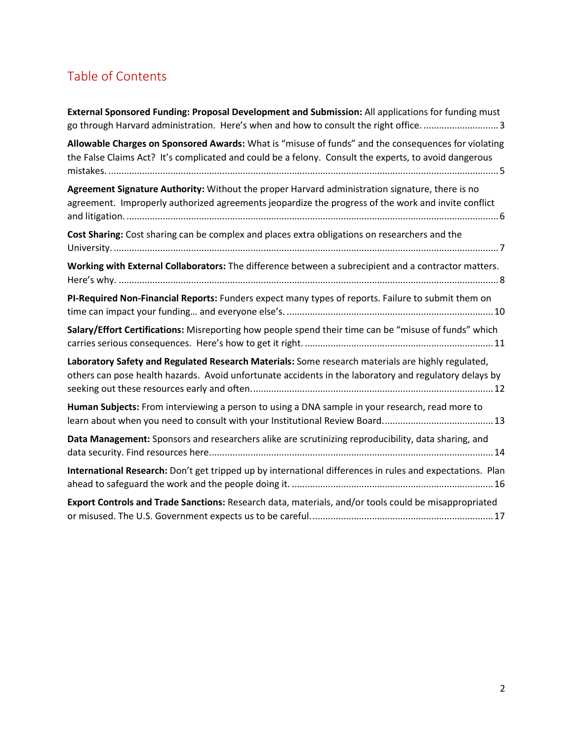# Table of Contents

| External Sponsored Funding: Proposal Development and Submission: All applications for funding must<br>go through Harvard administration. Here's when and how to consult the right office. 3                  |
|--------------------------------------------------------------------------------------------------------------------------------------------------------------------------------------------------------------|
| Allowable Charges on Sponsored Awards: What is "misuse of funds" and the consequences for violating<br>the False Claims Act? It's complicated and could be a felony. Consult the experts, to avoid dangerous |
| Agreement Signature Authority: Without the proper Harvard administration signature, there is no<br>agreement. Improperly authorized agreements jeopardize the progress of the work and invite conflict       |
| Cost Sharing: Cost sharing can be complex and places extra obligations on researchers and the                                                                                                                |
| Working with External Collaborators: The difference between a subrecipient and a contractor matters.                                                                                                         |
| PI-Required Non-Financial Reports: Funders expect many types of reports. Failure to submit them on                                                                                                           |
| Salary/Effort Certifications: Misreporting how people spend their time can be "misuse of funds" which                                                                                                        |
| Laboratory Safety and Regulated Research Materials: Some research materials are highly regulated,<br>others can pose health hazards. Avoid unfortunate accidents in the laboratory and regulatory delays by  |
| Human Subjects: From interviewing a person to using a DNA sample in your research, read more to                                                                                                              |
| Data Management: Sponsors and researchers alike are scrutinizing reproducibility, data sharing, and                                                                                                          |
| International Research: Don't get tripped up by international differences in rules and expectations. Plan                                                                                                    |
| Export Controls and Trade Sanctions: Research data, materials, and/or tools could be misappropriated                                                                                                         |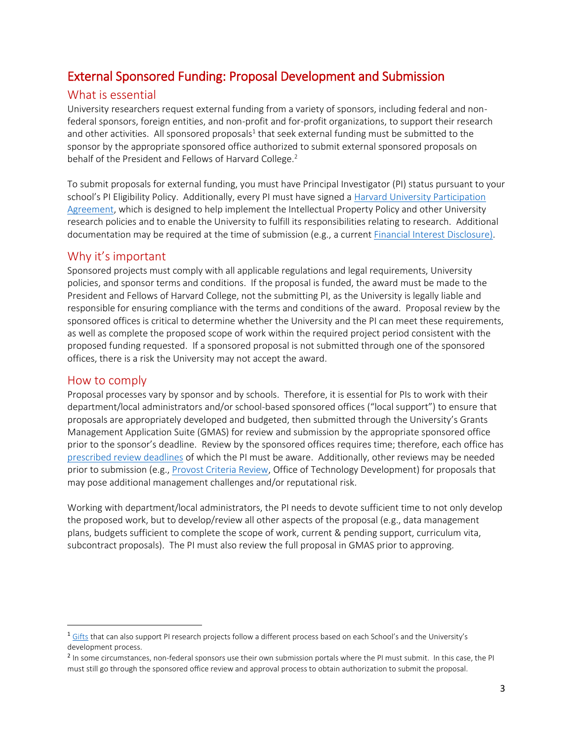# <span id="page-2-0"></span>External Sponsored Funding: Proposal Development and Submission

### What is essential

University researchers request external funding from a variety of sponsors, including federal and nonfederal sponsors, foreign entities, and non-profit and for-profit organizations, to support their research and other activities. All sponsored proposals<sup>1</sup> that seek external funding must be submitted to the sponsor by the appropriate sponsored office authorized to submit external sponsored proposals on behalf of the President and Fellows of Harvard College.<sup>2</sup>

To submit proposals for external funding, you must have Principal Investigator (PI) status pursuant to your school's PI Eligibility Policy. Additionally, every PI must have signed a [Harvard University Participation](https://vpr.harvard.edu/harvard-university-participation-agreement)  [Agreement,](https://vpr.harvard.edu/harvard-university-participation-agreement) which is designed to help implement the Intellectual Property Policy and other University research policies and to enable the University to fulfill its responsibilities relating to research. Additional documentation may be required at the time of submission (e.g., a curren[t Financial Interest Disclosure\)](https://vpr.harvard.edu/pages/financial-conflict-interest-policy).

### Why it's important

Sponsored projects must comply with all applicable regulations and legal requirements, University policies, and sponsor terms and conditions. If the proposal is funded, the award must be made to the President and Fellows of Harvard College, not the submitting PI, as the University is legally liable and responsible for ensuring compliance with the terms and conditions of the award. Proposal review by the sponsored offices is critical to determine whether the University and the PI can meet these requirements, as well as complete the proposed scope of work within the required project period consistent with the proposed funding requested. If a sponsored proposal is not submitted through one of the sponsored offices, there is a risk the University may not accept the award.

### How to comply

 $\overline{\phantom{a}}$ 

Proposal processes vary by sponsor and by schools. Therefore, it is essential for PIs to work with their department/local administrators and/or school-based sponsored offices ("local support") to ensure that proposals are appropriately developed and budgeted, then submitted through the University's Grants Management Application Suite (GMAS) for review and submission by the appropriate sponsored office prior to the sponsor's deadline. Review by the sponsored offices requires time; therefore, each office has prescribed review deadlines of which the PI must be aware. Additionally, other reviews may be needed prior to submission (e.g., [Provost Criteria Review,](https://osp.finance.harvard.edu/provost-criteria) Office of Technology Development) for proposals that may pose additional management challenges and/or reputational risk.

Working with department/local administrators, the PI needs to devote sufficient time to not only develop the proposed work, but to develop/review all other aspects of the proposal (e.g., data management plans, budgets sufficient to complete the scope of work, current & pending support, curriculum vita, subcontract proposals). The PI must also review the full proposal in GMAS prior to approving.

 $1$  [Gifts](https://osp.finance.harvard.edu/gift-vs-sponsored-research-policy) that can also support PI research projects follow a different process based on each School's and the University's development process.

<sup>&</sup>lt;sup>2</sup> In some circumstances, non-federal sponsors use their own submission portals where the PI must submit. In this case, the PI must still go through the sponsored office review and approval process to obtain authorization to submit the proposal.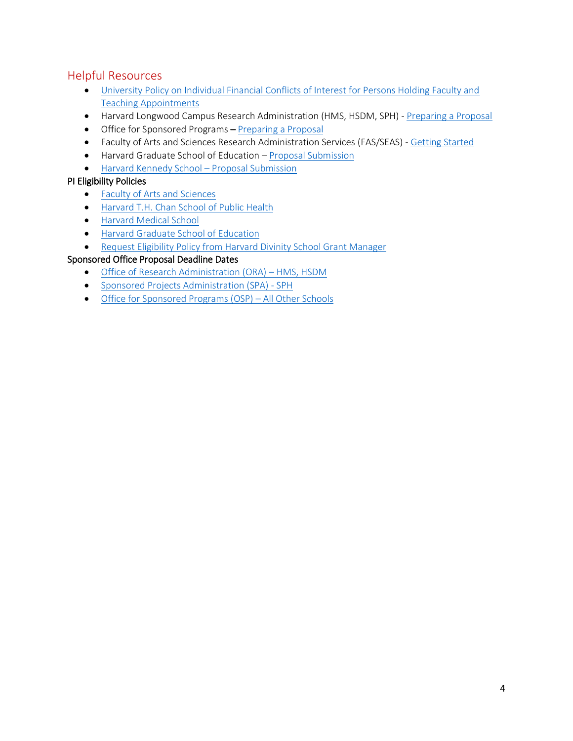# Helpful Resources

- [University Policy on Individual Financial Conflicts of Interest for Persons Holding Faculty and](http://files.vpr.harvard.edu/files/vpr-documents/files/harvard_university_fcoi_policy_4_0.pdf)  [Teaching Appointments](http://files.vpr.harvard.edu/files/vpr-documents/files/harvard_university_fcoi_policy_4_0.pdf)
- Harvard Longwood Campus Research Administration (HMS, HSDM, SPH)  [Preparing a Proposal](https://hlcra.harvard.edu/preparing-proposal)
- Office for Sponsored Programs – [Preparing a Proposal](https://osp.finance.harvard.edu/preparing-proposal)
- Faculty of Arts and Sciences Research Administration Services (FAS/SEAS) [Getting Started](https://research.fas.harvard.edu/getting-started)
- Harvard Graduate School of Education [Proposal Submission](https://osp.gse.harvard.edu/proposal-submission)
- Harvard Kennedy School [Proposal Submission](https://knet.hks.harvard.edu/Administration/Research-Administration/Proposal-Submission/Pages/default.aspx)

### PI Eligibility Policies

- [Faculty of Arts and Sciences](https://research.fas.harvard.edu/policies/principal-investigator-eligibility)
- [Harvard T.H. Chan School of Public Health](https://cdn1.sph.harvard.edu/wp-content/uploads/sites/57/2016/01/HarvardChanSchool_PI_Eligibility_Policy_Updated_January_20161.pdf)
- [Harvard Medical School](https://hlcra.harvard.edu/files/hlcra/files/hms_pi-eligibility-policy.pdf)
- [Harvard Graduate School of Education](https://osp.gse.harvard.edu/principal-investigator-eligibility-hgse)
- Request Eligibility Policy from Harvard Divinity School Grant Manager

### Sponsored Office Proposal Deadline Dates

- [Office of Research Administration \(ORA\)](https://hlcra.harvard.edu/hms-proposal-review)  HMS, HSDM
- [Sponsored Projects Administration \(SPA\) -](https://hlcra.harvard.edu/sph-proposal-review-process-and-timeframe) SPH
- Office for [Sponsored Programs \(OSP\)](https://osp.finance.harvard.edu/internal-submission-deadlines)  All Other Schools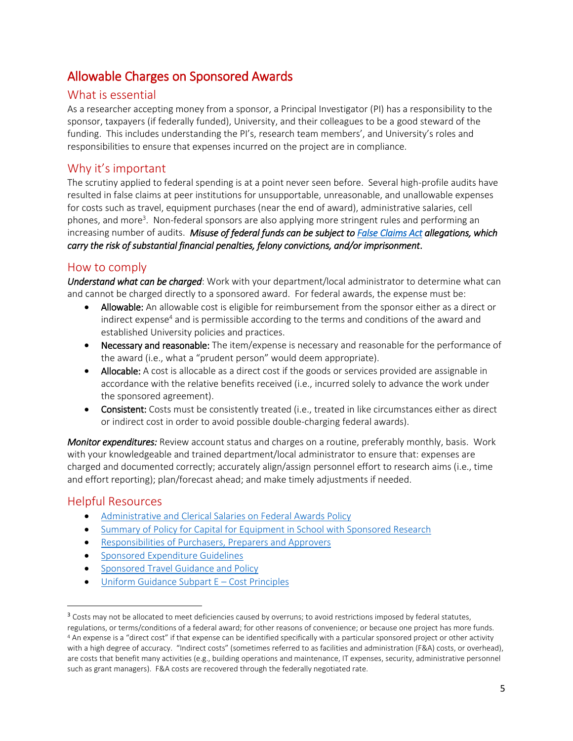# <span id="page-4-0"></span>Allowable Charges on Sponsored Awards

# What is essential

As a researcher accepting money from a sponsor, a Principal Investigator (PI) has a responsibility to the sponsor, taxpayers (if federally funded), University, and their colleagues to be a good steward of the funding. This includes understanding the PI's, research team members', and University's roles and responsibilities to ensure that expenses incurred on the project are in compliance.

# Why it's important

The scrutiny applied to federal spending is at a point never seen before. Several high-profile audits have resulted in false claims at peer institutions for unsupportable, unreasonable, and unallowable expenses for costs such as travel, equipment purchases (near the end of award), administrative salaries, cell phones, and more<sup>3</sup>. Non-federal sponsors are also applying more stringent rules and performing an increasing number of audits. *Misuse of federal funds can be subject to [False Claims Act](https://www.gpo.gov/fdsys/pkg/USCODE-2011-title31/html/USCODE-2011-title31-subtitleIII-chap37-subchapIII-sec3729.htm) allegations, which carry the risk of substantial financial penalties, felony convictions, and/or imprisonment*.

# How to comply

*Understand what can be charged*: Work with your department/local administrator to determine what can and cannot be charged directly to a sponsored award. For federal awards, the expense must be:

- Allowable: An allowable cost is eligible for reimbursement from the sponsor either as a direct or indirect expense<sup>4</sup> and is permissible according to the terms and conditions of the award and established University policies and practices.
- Necessary and reasonable: The item/expense is necessary and reasonable for the performance of the award (i.e., what a "prudent person" would deem appropriate).
- Allocable: A cost is allocable as a direct cost if the goods or services provided are assignable in accordance with the relative benefits received (i.e., incurred solely to advance the work under the sponsored agreement).
- Consistent: Costs must be consistently treated (i.e., treated in like circumstances either as direct or indirect cost in order to avoid possible double-charging federal awards).

*Monitor expenditures:* Review account status and charges on a routine, preferably monthly, basis. Work with your knowledgeable and trained department/local administrator to ensure that: expenses are charged and documented correctly; accurately align/assign personnel effort to research aims (i.e., time and effort reporting); plan/forecast ahead; and make timely adjustments if needed.

# Helpful Resources

 $\overline{\phantom{a}}$ 

- [Administrative and Clerical Salaries on Federal Awards Policy](https://osp.finance.harvard.edu/administrative-and-clerical-salaries-federal-awards)
- [Summary of Policy for Capital for Equipment in School with Sponsored Research](https://osp.finance.harvard.edu/capital-equipment-policy)
- [Responsibilities of Purchasers, Preparers and Approvers](https://policies.fad.harvard.edu/responsibilities-purchasers-preparers-and-approvers)
- [Sponsored Expenditure Guidelines](http://osp.finance.harvard.edu/sponsored-expenditures-guidelines)
- [Sponsored Travel Guidance and Policy](https://osp.finance.harvard.edu/travel-policy)
- [Uniform Guidance Subpart E](https://www.ecfr.gov/cgi-bin/text-idx?SID=4180c894dab6d225358eaa0cc01f37b6&node=se2.1.200_1400&rgn=div8)  Cost Principles

<sup>&</sup>lt;sup>3</sup> Costs may not be allocated to meet deficiencies caused by overruns; to avoid restrictions imposed by federal statutes,

regulations, or terms/conditions of a federal award; for other reasons of convenience; or because one project has more funds. <sup>4</sup> An expense is a "direct cost" if that expense can be identified specifically with a particular sponsored project or other activity with a high degree of accuracy. "Indirect costs" (sometimes referred to as facilities and administration (F&A) costs, or overhead), are costs that benefit many activities (e.g., building operations and maintenance, IT expenses, security, administrative personnel such as grant managers). F&A costs are recovered through the federally negotiated rate.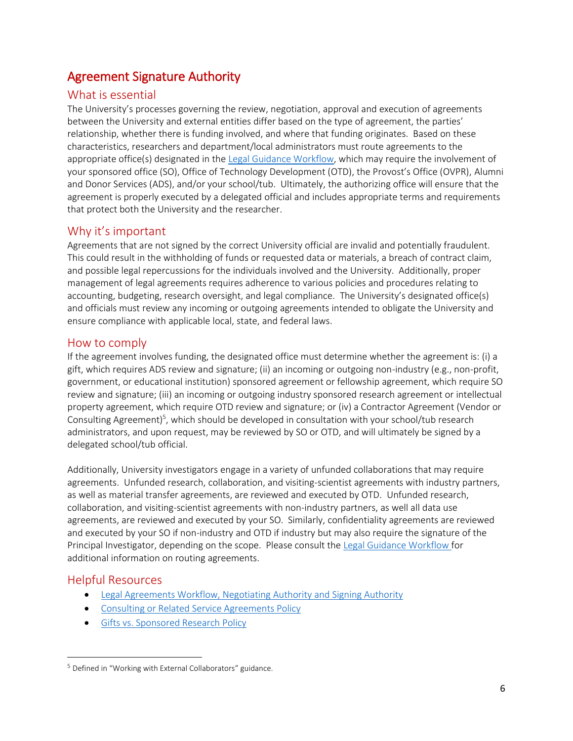# <span id="page-5-0"></span>Agreement Signature Authority

# What is essential

The University's processes governing the review, negotiation, approval and execution of agreements between the University and external entities differ based on the type of agreement, the parties' relationship, whether there is funding involved, and where that funding originates. Based on these characteristics, researchers and department/local administrators must route agreements to the appropriate office(s) designated in the [Legal Guidance Workflow,](https://osp.finance.harvard.edu/files/osp/files/legal-guidance-workflowdec-2014.pdf) which may require the involvement of your sponsored office (SO), Office of Technology Development (OTD), the Provost's Office (OVPR), Alumni and Donor Services (ADS), and/or your school/tub. Ultimately, the authorizing office will ensure that the agreement is properly executed by a delegated official and includes appropriate terms and requirements that protect both the University and the researcher.

# Why it's important

Agreements that are not signed by the correct University official are invalid and potentially fraudulent. This could result in the withholding of funds or requested data or materials, a breach of contract claim, and possible legal repercussions for the individuals involved and the University. Additionally, proper management of legal agreements requires adherence to various policies and procedures relating to accounting, budgeting, research oversight, and legal compliance. The University's designated office(s) and officials must review any incoming or outgoing agreements intended to obligate the University and ensure compliance with applicable local, state, and federal laws.

# How to comply

If the agreement involves funding, the designated office must determine whether the agreement is: (i) a gift, which requires ADS review and signature; (ii) an incoming or outgoing non-industry (e.g., non-profit, government, or educational institution) sponsored agreement or fellowship agreement, which require SO review and signature; (iii) an incoming or outgoing industry sponsored research agreement or intellectual property agreement, which require OTD review and signature; or (iv) a Contractor Agreement (Vendor or Consulting Agreement)<sup>5</sup>, which should be developed in consultation with your school/tub research administrators, and upon request, may be reviewed by SO or OTD, and will ultimately be signed by a delegated school/tub official.

Additionally, University investigators engage in a variety of unfunded collaborations that may require agreements. Unfunded research, collaboration, and visiting-scientist agreements with industry partners, as well as material transfer agreements, are reviewed and executed by OTD. Unfunded research, collaboration, and visiting-scientist agreements with non-industry partners, as well all data use agreements, are reviewed and executed by your SO. Similarly, confidentiality agreements are reviewed and executed by your SO if non-industry and OTD if industry but may also require the signature of the Principal Investigator, depending on the scope. Please consult the [Legal Guidance Workflow](https://osp.finance.harvard.edu/files/osp/files/legal-guidance-workflowdec-2014.pdf) for additional information on routing agreements.

# Helpful Resources

 $\overline{\phantom{a}}$ 

- Legal Agreements Workflow, Negotiating Authority and Signing Authority
- [Consulting or Related Service Agreements Policy](https://osp.finance.harvard.edu/consulting-or-related-service-agreements)
- [Gifts vs. Sponsored Research Policy](https://osp.finance.harvard.edu/gift-vs-sponsored-research-policy)

<sup>5</sup> Defined in "Working with External Collaborators" guidance.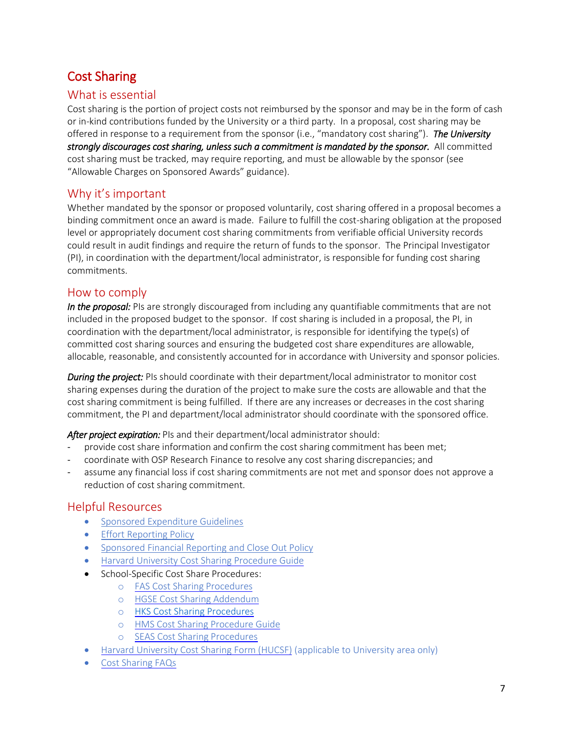# <span id="page-6-0"></span>Cost Sharing

# What is essential

Cost sharing is the portion of project costs not reimbursed by the sponsor and may be in the form of cash or in-kind contributions funded by the University or a third party. In a proposal, cost sharing may be offered in response to a requirement from the sponsor (i.e., "mandatory cost sharing"). *The University strongly discourages cost sharing, unless such a commitment is mandated by the sponsor.* All committed cost sharing must be tracked, may require reporting, and must be allowable by the sponsor (see "Allowable Charges on Sponsored Awards" guidance).

# Why it's important

Whether mandated by the sponsor or proposed voluntarily, cost sharing offered in a proposal becomes a binding commitment once an award is made. Failure to fulfill the cost-sharing obligation at the proposed level or appropriately document cost sharing commitments from verifiable official University records could result in audit findings and require the return of funds to the sponsor. The Principal Investigator (PI), in coordination with the department/local administrator, is responsible for funding cost sharing commitments.

### How to comply

In the proposal: PIs are strongly discouraged from including any quantifiable commitments that are not included in the proposed budget to the sponsor. If cost sharing is included in a proposal, the PI, in coordination with the department/local administrator, is responsible for identifying the type(s) of committed cost sharing sources and ensuring the budgeted cost share expenditures are allowable, allocable, reasonable, and consistently accounted for in accordance with University and sponsor policies.

*During the project:* PIs should coordinate with their department/local administrator to monitor cost sharing expenses during the duration of the project to make sure the costs are allowable and that the cost sharing commitment is being fulfilled. If there are any increases or decreases in the cost sharing commitment, the PI and department/local administrator should coordinate with the sponsored office.

*After project expiration:* PIs and their department/local administrator should:

- provide cost share information and confirm the cost sharing commitment has been met;
- coordinate with OSP Research Finance to resolve any cost sharing discrepancies; and
- assume any financial loss if cost sharing commitments are not met and sponsor does not approve a reduction of cost sharing commitment.

- [Sponsored Expenditure Guidelines](http://osp.finance.harvard.edu/sponsored-expenditures-guidelines)
- [Effort Reporting Policy](http://osp.finance.harvard.edu/effort-reporting-policy)
- [Sponsored Financial Reporting and Close Out Policy](http://osp.finance.harvard.edu/sponsored-financial-reporting-and-closeout-policy)
- [Harvard University Cost Sharing Procedure Guide](https://osp.finance.harvard.edu/files/osp/files/university_cost_sharing_procedure_guide_11.26.17.docx)
- School-Specific Cost Share Procedures:
	- o [FAS Cost Sharing](https://osp.finance.harvard.edu/files/osp/files/fas_cost_sharing_procedures_7.1.2017.pdf) Procedures
	- o [HGSE Cost Sharing](https://osp.finance.harvard.edu/files/osp/files/cost_sharing_hgse_addendum.pdf) Addendum
	- o [HKS Cost Sharing Procedures](https://knet.hks.harvard.edu/Administration/Research-Administration/Award-Management/Research%20Administration%20Policies/Cost-Sharing/Pages/default.aspx)
	- o [HMS Cost Sharing Procedure](https://osp.finance.harvard.edu/files/osp/files/hms_cost_sharing_procedure_guide_7.1.2017.pdf) Guide
	- o [SEAS Cost Sharing](https://osp.finance.harvard.edu/files/osp/files/seas_cost_sharing_procedures_7.1.2017.pdf) Procedures
- [Harvard University Cost Sharing Form \(HUCSF\)](https://osp.finance.harvard.edu/files/osp/files/cost_sharing_form_3.8.3017.pdf) (applicable to University area only)
- [Cost Sharing FAQs](https://osp.finance.harvard.edu/files/osp/files/cost_sharing_faqs_revised_3.8.2017.pdf)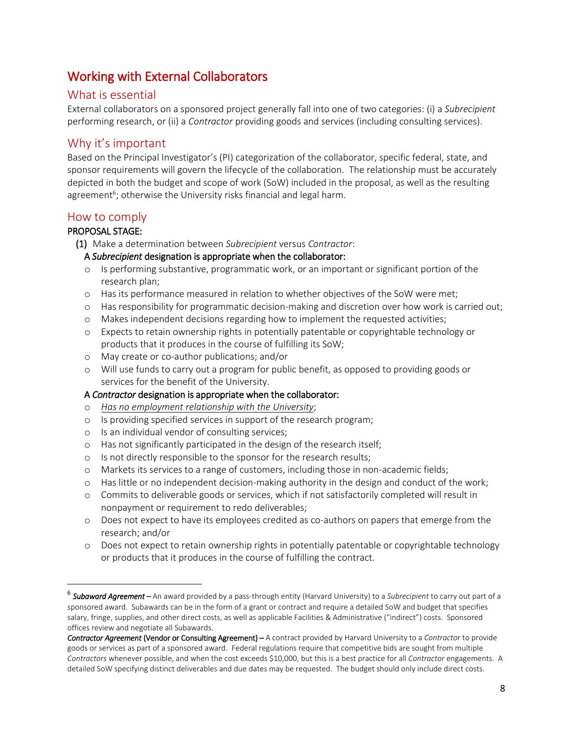# <span id="page-7-0"></span>Working with External Collaborators

# What is essential

External collaborators on a sponsored project generally fall into one of two categories: (i) a *Subrecipient* performing research, or (ii) a *Contractor* providing goods and services (including consulting services).

# Why it's important

Based on the Principal Investigator's (PI) categorization of the collaborator, specific federal, state, and sponsor requirements will govern the lifecycle of the collaboration. The relationship must be accurately depicted in both the budget and scope of work (SoW) included in the proposal, as well as the resulting agreement<sup>6</sup>; otherwise the University risks financial and legal harm.

# How to comply

### PROPOSAL STAGE:

 $\overline{\phantom{a}}$ 

(1) Make a determination between *Subrecipient* versus *Contractor*:

#### A *Subrecipient* designation is appropriate when the collaborator:

- o Is performing substantive, programmatic work, or an important or significant portion of the research plan;
- o Has its performance measured in relation to whether objectives of the SoW were met;
- o Has responsibility for programmatic decision-making and discretion over how work is carried out;
- o Makes independent decisions regarding how to implement the requested activities;
- o Expects to retain ownership rights in potentially patentable or copyrightable technology or products that it produces in the course of fulfilling its SoW;
- o May create or co-author publications; and/or
- o Will use funds to carry out a program for public benefit, as opposed to providing goods or services for the benefit of the University.

#### A *Contractor* designation is appropriate when the collaborator:

- o *Has no employment relationship with the University*;
- o Is providing specified services in support of the research program;
- o Is an individual vendor of consulting services;
- o Has not significantly participated in the design of the research itself;
- o Is not directly responsible to the sponsor for the research results;
- o Markets its services to a range of customers, including those in non-academic fields;
- $\circ$  Has little or no independent decision-making authority in the design and conduct of the work;
- o Commits to deliverable goods or services, which if not satisfactorily completed will result in nonpayment or requirement to redo deliverables;
- o Does not expect to have its employees credited as co-authors on papers that emerge from the research; and/or
- o Does not expect to retain ownership rights in potentially patentable or copyrightable technology or products that it produces in the course of fulfilling the contract.

<sup>6</sup> *Subaward Agreement* – An award provided by a pass-through entity (Harvard University) to a *Subrecipient* to carry out part of a sponsored award. Subawards can be in the form of a grant or contract and require a detailed SoW and budget that specifies salary, fringe, supplies, and other direct costs, as well as applicable Facilities & Administrative ("indirect") costs. Sponsored offices review and negotiate all Subawards.

*Contractor Agreement* (Vendor or Consulting Agreement) – A contract provided by Harvard University to a *Contractor* to provide goods or services as part of a sponsored award. Federal regulations require that competitive bids are sought from multiple *Contractors* whenever possible, and when the cost exceeds \$10,000, but this is a best practice for all *Contractor* engagements. A detailed SoW specifying distinct deliverables and due dates may be requested. The budget should only include direct costs.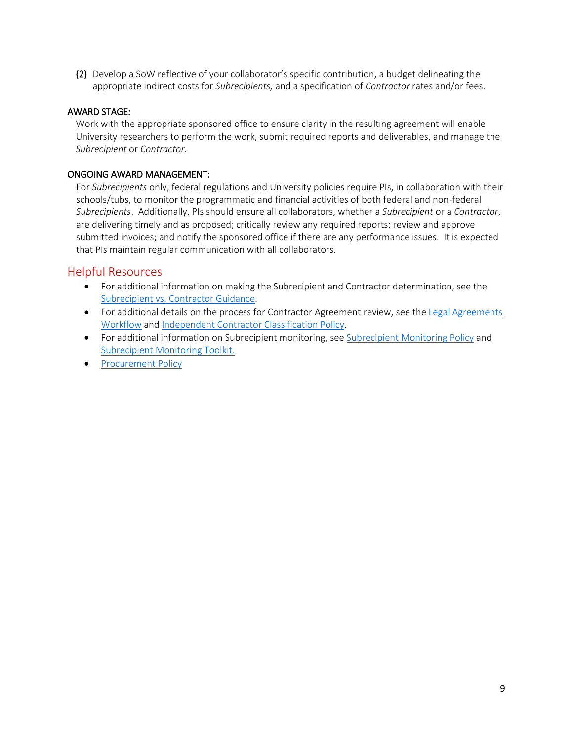(2) Develop a SoW reflective of your collaborator's specific contribution, a budget delineating the appropriate indirect costs for *Subrecipients,* and a specification of *Contractor* rates and/or fees.

#### AWARD STAGE:

Work with the appropriate sponsored office to ensure clarity in the resulting agreement will enable University researchers to perform the work, submit required reports and deliverables, and manage the *Subrecipient* or *Contractor*.

#### ONGOING AWARD MANAGEMENT:

For *Subrecipients* only, federal regulations and University policies require PIs, in collaboration with their schools/tubs, to monitor the programmatic and financial activities of both federal and non-federal *Subrecipients*. Additionally, PIs should ensure all collaborators, whether a *Subrecipient* or a *Contractor*, are delivering timely and as proposed; critically review any required reports; review and approve submitted invoices; and notify the sponsored office if there are any performance issues. It is expected that PIs maintain regular communication with all collaborators.

- For additional information on making the Subrecipient and Contractor determination, see the [Subrecipient vs. Contractor Guidance.](https://osp.finance.harvard.edu/subrecipient-vs-contractor-guidance)
- For additional details on the process for Contractor Agreement review, see the Legal Agreements [Workflow](https://osp.finance.harvard.edu/legal-agreements-workflow-negotiating-authority-and-signing-authority) and [Independent Contractor Classification Policy.](http://hwpi.harvard.edu/os_fast/files/fad_policies/indep_contr_class.pdf?__authen_application=CADM_HUIT_ATS_AWS_HWPI&__authen_huid=70744120&__authen_ip=10.245.202.81&__authen_pgp_signature=iQA/AwUAWszx78DVI4Mo/BzXEQJ6QACdG%2BIu0oWh2pEM5SyntuAepHXUyz0AnRPa%0D%0AddOtDXK8mX%2B0H2CX2TPDvB4j%0D%0A%3DGWhg%0D%0A&__authen_pgp_version=5.0&__authen_time=Tue%20Apr%2010%2013%3A18%3A39%20EDT%202018)
- For additional information on Subrecipient monitoring, se[e Subrecipient Monitoring Policy](https://osp.finance.harvard.edu/subrecipient-monitoring-policy) and [Subrecipient Monitoring Toolkit.](https://osp.finance.harvard.edu/subrecipient-monitoring-toolkit)
- [Procurement Policy](https://policies.fad.harvard.edu/procurement)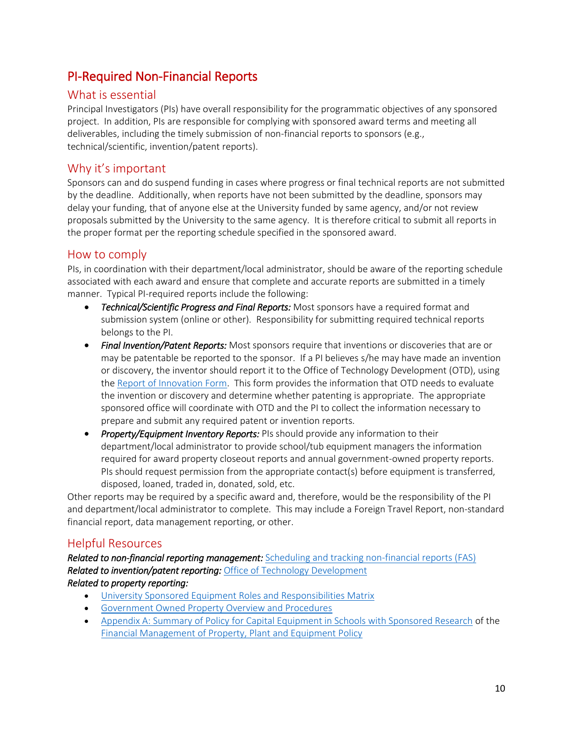# <span id="page-9-0"></span>PI-Required Non-Financial Reports

# What is essential

Principal Investigators (PIs) have overall responsibility for the programmatic objectives of any sponsored project. In addition, PIs are responsible for complying with sponsored award terms and meeting all deliverables, including the timely submission of non-financial reports to sponsors (e.g., technical/scientific, invention/patent reports).

# Why it's important

Sponsors can and do suspend funding in cases where progress or final technical reports are not submitted by the deadline. Additionally, when reports have not been submitted by the deadline, sponsors may delay your funding, that of anyone else at the University funded by same agency, and/or not review proposals submitted by the University to the same agency. It is therefore critical to submit all reports in the proper format per the reporting schedule specified in the sponsored award.

# How to comply

PIs, in coordination with their department/local administrator, should be aware of the reporting schedule associated with each award and ensure that complete and accurate reports are submitted in a timely manner. Typical PI-required reports include the following:

- *Technical/Scientific Progress and Final Reports:* Most sponsors have a required format and submission system (online or other). Responsibility for submitting required technical reports belongs to the PI.
- *Final Invention/Patent Reports:* Most sponsors require that inventions or discoveries that are or may be patentable be reported to the sponsor. If a PI believes s/he may have made an invention or discovery, the inventor should report it to the Office of Technology Development (OTD), using the [Report of Innovation Form.](http://otd.harvard.edu/faculty-inventors/resources/report-of-innovation-roi/) This form provides the information that OTD needs to evaluate the invention or discovery and determine whether patenting is appropriate. The appropriate sponsored office will coordinate with OTD and the PI to collect the information necessary to prepare and submit any required patent or invention reports.
- *Property/Equipment Inventory Reports:* PIs should provide any information to their department/local administrator to provide school/tub equipment managers the information required for award property closeout reports and annual government-owned property reports. PIs should request permission from the appropriate contact(s) before equipment is transferred, disposed, loaned, traded in, donated, sold, etc.

Other reports may be required by a specific award and, therefore, would be the responsibility of the PI and department/local administrator to complete. This may include a Foreign Travel Report, non-standard financial report, data management reporting, or other.

# Helpful Resources

*Related to non-financial reporting management:* [Scheduling and tracking non-financial reports \(FAS\)](https://research.fas.harvard.edu/files/research/files/gmas_non-financial_report_scheduling_guide_0.pdf) *Related to invention/patent reporting:* [Office of Technology Development](http://www.otd.harvard.edu/) *Related to property reporting:* 

- [University Sponsored Equipment Roles and Responsibilities Matrix](https://osp.finance.harvard.edu/files/osp/files/equipment_rr_matrix.pdf)
- [Government Owned Property Overview and Procedures](https://osp.finance.harvard.edu/files/osp/files/government-owned-property-overview-and-proceduresdec-2014.pdf)
- [Appendix A: Summary of Policy for Capital Equipment in Schools with Sponsored Research](https://policies.fad.harvard.edu/files/fad_policies/files/appendix_a_sponsored_summary_edits_for_2cfr200.pdf) of the [Financial Management of Property,](https://policies.fad.harvard.edu/pages/facilities-and-equipment) Plant and Equipment Policy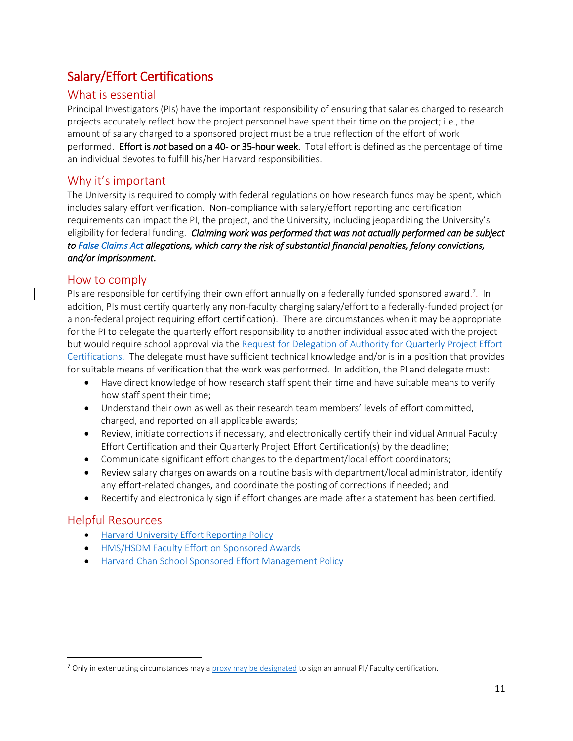# <span id="page-10-0"></span>Salary/Effort Certifications

# What is essential

Principal Investigators (PIs) have the important responsibility of ensuring that salaries charged to research projects accurately reflect how the project personnel have spent their time on the project; i.e., the amount of salary charged to a sponsored project must be a true reflection of the effort of work performed. Effort is *not* based on a 40- or 35-hour week. Total effort is defined as the percentage of time an individual devotes to fulfill his/her Harvard responsibilities.

# Why it's important

The University is required to comply with federal regulations on how research funds may be spent, which includes salary effort verification. Non-compliance with salary/effort reporting and certification requirements can impact the PI, the project, and the University, including jeopardizing the University's eligibility for federal funding. *Claiming work was performed that was not actually performed can be subject to [False Claims Act](https://www.gpo.gov/fdsys/pkg/USCODE-2011-title31/html/USCODE-2011-title31-subtitleIII-chap37-subchapIII-sec3729.htm) allegations, which carry the risk of substantial financial penalties, felony convictions, and/or imprisonment*.

### How to comply

PIs are responsible for certifying their own effort annually on a federally funded sponsored award.<sup>7</sup>- In addition, PIs must certify quarterly any non-faculty charging salary/effort to a federally-funded project (or a non-federal project requiring effort certification). There are circumstances when it may be appropriate for the PI to delegate the quarterly effort responsibility to another individual associated with the project but would require school approval via th[e Request for Delegation of Authority for Quarterly Project Effort](http://osp.finance.harvard.edu/files/osp/files/request-for-delegation-of-authority-for-quarterly-project-effort-certifications.pdf)  [Certifications.](http://osp.finance.harvard.edu/files/osp/files/request-for-delegation-of-authority-for-quarterly-project-effort-certifications.pdf) The delegate must have sufficient technical knowledge and/or is in a position that provides for suitable means of verification that the work was performed. In addition, the PI and delegate must:

- Have direct knowledge of how research staff spent their time and have suitable means to verify how staff spent their time;
- Understand their own as well as their research team members' levels of effort committed, charged, and reported on all applicable awards;
- Review, initiate corrections if necessary, and electronically certify their individual Annual Faculty Effort Certification and their Quarterly Project Effort Certification(s) by the deadline;
- Communicate significant effort changes to the department/local effort coordinators;
- Review salary charges on awards on a routine basis with department/local administrator, identify any effort-related changes, and coordinate the posting of corrections if needed; and
- Recertify and electronically sign if effort changes are made after a statement has been certified.

# Helpful Resources

 $\overline{\phantom{a}}$ 

- [Harvard University Effort Reporting Policy](https://osp.finance.harvard.edu/files/osp/files/effort_reporting_policy_pdf_09-08-17.pdf)
- [HMS/HSDM Faculty Effort on Sponsored Awards](https://hlcra.harvard.edu/files/hlcra/files/hms_hsdm_faculty_maximum_effort_policy_0.pdf)
- [Harvard Chan School Sponsored Effort Management Policy](https://hlcra.harvard.edu/files/hlcra/files/hcs_sponsored_effort_policy_final.docx.pdf)

<sup>&</sup>lt;sup>7</sup> Only in extenuating circumstances may a **proxy may be designated** to sign an annual PI/ Faculty certification.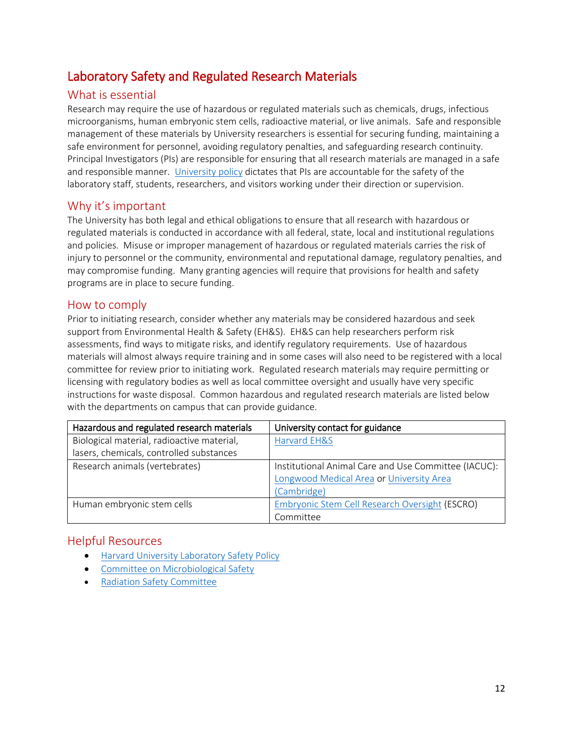# <span id="page-11-0"></span>Laboratory Safety and Regulated Research Materials

# What is essential

Research may require the use of hazardous or regulated materials such as chemicals, drugs, infectious microorganisms, human embryonic stem cells, radioactive material, or live animals. Safe and responsible management of these materials by University researchers is essential for securing funding, maintaining a safe environment for personnel, avoiding regulatory penalties, and safeguarding research continuity. Principal Investigators (PIs) are responsible for ensuring that all research materials are managed in a safe and responsible manner. [University policy](https://vpr.harvard.edu/files/ovpr-test/files/university_safety_policy_2018-3-9.pdf) dictates that PIs are accountable for the safety of the laboratory staff, students, researchers, and visitors working under their direction or supervision.

### Why it's important

The University has both legal and ethical obligations to ensure that all research with hazardous or regulated materials is conducted in accordance with all federal, state, local and institutional regulations and policies. Misuse or improper management of hazardous or regulated materials carries the risk of injury to personnel or the community, environmental and reputational damage, regulatory penalties, and may compromise funding. Many granting agencies will require that provisions for health and safety programs are in place to secure funding.

### How to comply

Prior to initiating research, consider whether any materials may be considered hazardous and seek support from Environmental Health & Safety (EH&S). EH&S can help researchers perform risk assessments, find ways to mitigate risks, and identify regulatory requirements. Use of hazardous materials will almost always require training and in some cases will also need to be registered with a local committee for review prior to initiating work. Regulated research materials may require permitting or licensing with regulatory bodies as well as local committee oversight and usually have very specific instructions for waste disposal. Common hazardous and regulated research materials are listed below with the departments on campus that can provide guidance.

| Hazardous and regulated research materials | University contact for guidance                      |
|--------------------------------------------|------------------------------------------------------|
| Biological material, radioactive material, | Harvard EH&S                                         |
| lasers, chemicals, controlled substances   |                                                      |
| Research animals (vertebrates)             | Institutional Animal Care and Use Committee (IACUC): |
|                                            | Longwood Medical Area or University Area             |
|                                            | (Cambridge)                                          |
| Human embryonic stem cells                 | Embryonic Stem Cell Research Oversight (ESCRO)       |
|                                            | Committee                                            |

- [Harvard University Laboratory Safety Policy](https://vpr.harvard.edu/files/ovpr-test/files/university_safety_policy_2018-3-9.pdf)
- [Committee on Microbiological Safety](https://hms.harvard.edu/departments/committee-microbiological-safety)
- [Radiation Safety Committee](https://www.ehs.harvard.edu/programs/radiation-safety-committee)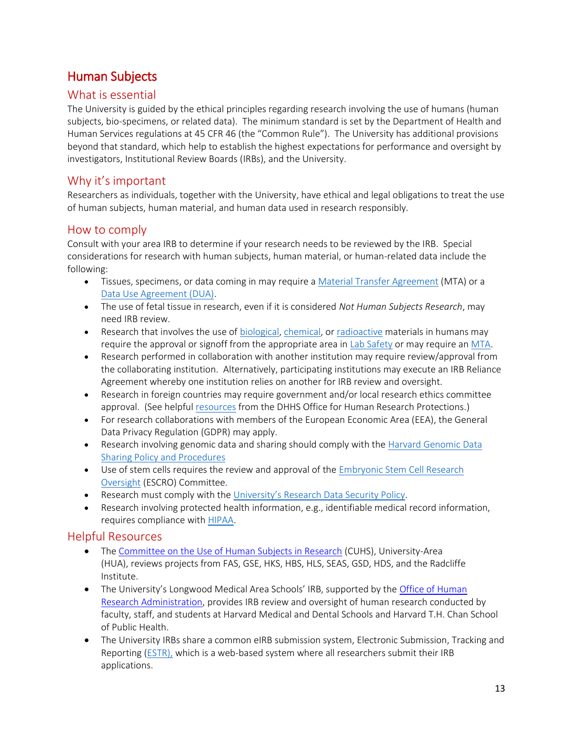# <span id="page-12-0"></span>Human Subjects

# What is essential

The University is guided by the ethical principles regarding research involving the use of humans (human subjects, bio-specimens, or related data). The minimum standard is set by the Department of Health and Human Services regulations at 45 CFR 46 (the "Common Rule"). The University has additional provisions beyond that standard, which help to establish the highest expectations for performance and oversight by investigators, Institutional Review Boards (IRBs), and the University.

# Why it's important

Researchers as individuals, together with the University, have ethical and legal obligations to treat the use of human subjects, human material, and human data used in research responsibly.

# How to comply

Consult with your area IRB to determine if your research needs to be reviewed by the IRB. Special considerations for research with human subjects, human material, or human-related data include the following:

- Tissues, specimens, or data coming in may require a [Material Transfer Agreement](https://otd.harvard.edu/faculty-inventors/resources/material-transfer-agreements/) (MTA) or a [Data Use Agreement \(DUA\).](https://vpr.harvard.edu/pages/harvard-research-data-security-policy)
- The use of fetal tissue in research, even if it is considered *Not Human Subjects Research*, may need IRB review.
- Research that involves the use of [biological,](http://www.ehs.harvard.edu/programs/safe-biological-work-practices) [chemical,](http://ehs.harvard.edu/programs/safe-chemical-work-practices) or [radioactive](http://www.ehs.harvard.edu/programs/safe-radiation-work-practices) materials in humans may require the approval or signoff from the appropriate area in [Lab Safety](https://www.ehs.harvard.edu/services/general-lab-safety) or may require an [MTA.](https://otd.harvard.edu/faculty-inventors/resources/material-transfer-agreements/)
- Research performed in collaboration with another institution may require review/approval from the collaborating institution. Alternatively, participating institutions may execute an IRB Reliance Agreement whereby one institution relies on another for IRB review and oversight.
- Research in foreign countries may require government and/or local research ethics committee approval. (See helpful [resources](https://www.hhs.gov/ohrp/sites/default/files/2018-International-Compilation-of-Human-Research-Standards.pdf) from the DHHS Office for Human Research Protections.)
- For research collaborations with members of the European Economic Area (EEA), the General Data Privacy Regulation (GDPR) may apply.
- Research involving genomic data and sharing should comply with the [Harvard Genomic Data](http://files.vpr.harvard.edu/files/vpr-documents/files/harvard_gds_policy_and_procedures_revised_9_2015.pdf?m=1445960751)  Sharing [Policy and Procedures](http://files.vpr.harvard.edu/files/vpr-documents/files/harvard_gds_policy_and_procedures_revised_9_2015.pdf?m=1445960751)
- Use of stem cells requires the review and approval of the [Embryonic Stem Cell Research](https://hwpi.harvard.edu/escro)  [Oversight](https://hwpi.harvard.edu/escro) (ESCRO) Committee.
- Research must comply with the [University's Research Data Security Policy](http://www.security.harvard.edu/research-data-security-policy).
- Research involving protected health information, e.g., identifiable medical record information, requires compliance with [HIPAA.](http://www.hhs.gov/ocr/privacy/hipaa/understanding/special/research/index.html)

- The [Committee on the Use of Human Subjects in Research](http://cuhs.harvard.edu/) (CUHS), University-Area (HUA), reviews projects from FAS, GSE, HKS, HBS, HLS, SEAS, GSD, HDS, and the Radcliffe Institute.
- The University's Longwood Medical Area Schools' IRB, supported by the Office of Human [Research Administration,](http://www.hsph.harvard.edu/research/human-research-administration/contactslocation/hourslocation/index.html) provides IRB review and oversight of human research conducted by faculty, staff, and students at Harvard Medical and Dental Schools and Harvard T.H. Chan School of Public Health.
- The University IRBs share a common eIRB submission system, Electronic Submission, Tracking and Reporting [\(ESTR\)](https://irb.harvard.edu/irb/Rooms/DisplayPages/LayoutInitial?Container=com.webridge.entity.Entity%5bOID%5b534EC5007CF149478E39B892125EDC43%5d%5d), which is a web-based system where all researchers submit their IRB applications.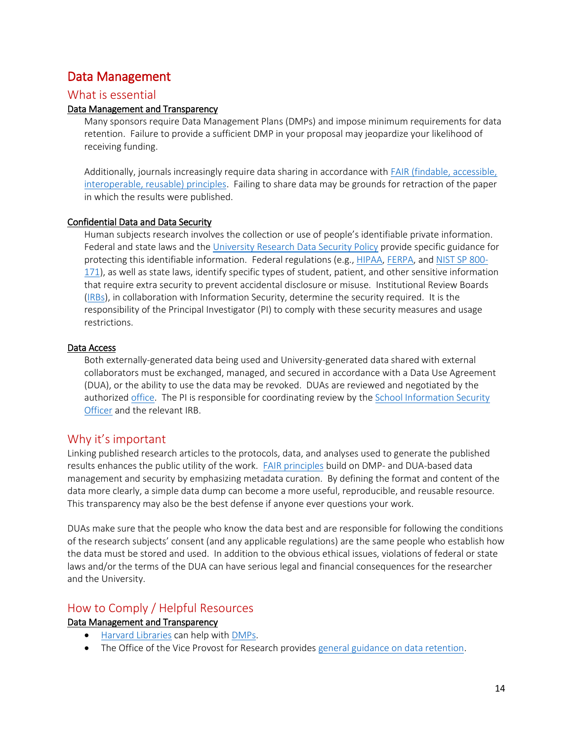# <span id="page-13-0"></span>Data Management

### What is essential

#### Data Management and Transparency

Many sponsors require Data Management Plans (DMPs) and impose minimum requirements for data retention. Failure to provide a sufficient DMP in your proposal may jeopardize your likelihood of receiving funding.

Additionally, journals increasingly require data sharing in accordance with [FAIR \(findable, accessible,](https://www.force11.org/group/fairgroup/fairprinciples)  [interoperable, reusable\) principles.](https://www.force11.org/group/fairgroup/fairprinciples) Failing to share data may be grounds for retraction of the paper in which the results were published.

#### Confidential Data and Data Security

Human subjects research involves the collection or use of people's identifiable private information. Federal and state laws and th[e University Research Data Security Policy](https://vpr.harvard.edu/pages/harvard-research-data-security-policy) provide specific guidance for protecting this identifiable information. Federal regulations (e.g., [HIPAA,](https://www.hhs.gov/hipaa/index.html) [FERPA,](https://www2.ed.gov/policy/gen/guid/fpco/ferpa/index.html?) and [NIST SP 800-](https://csrc.nist.gov/publications/detail/sp/800-171/rev-1/final) [171\)](https://csrc.nist.gov/publications/detail/sp/800-171/rev-1/final), as well as state laws, identify specific types of student, patient, and other sensitive information that require extra security to prevent accidental disclosure or misuse. Institutional Review Boards [\(IRBs\)](#page-14-0), in collaboration with Information Security, determine the security required. It is the responsibility of the Principal Investigator (PI) to comply with these security measures and usage restrictions.

#### Data Access

Both externally-generated data being used and University-generated data shared with external collaborators must be exchanged, managed, and secured in accordance with a Data Use Agreement (DUA), or the ability to use the data may be revoked. DUAs are reviewed and negotiated by the authorized [office.](#page-14-1) The PI is responsible for coordinating review by the [School Information Security](https://security.harvard.edu/people)  [Officer](https://security.harvard.edu/people) and the relevant IRB.

### Why it's important

Linking published research articles to the protocols, data, and analyses used to generate the published results enhances the public utility of the work. [FAIR principles](https://www.nature.com/articles/sdata201618) build on DMP- and DUA-based data management and security by emphasizing metadata curation. By defining the format and content of the data more clearly, a simple data dump can become a more useful, reproducible, and reusable resource. This transparency may also be the best defense if anyone ever questions your work.

DUAs make sure that the people who know the data best and are responsible for following the conditions of the research subjects' consent (and any applicable regulations) are the same people who establish how the data must be stored and used. In addition to the obvious ethical issues, violations of federal or state laws and/or the terms of the DUA can have serious legal and financial consequences for the researcher and the University.

### How to Comply / Helpful Resources

#### Data Management and Transparency

- [Harvard Libraries](https://guides.library.harvard.edu/dmp) can help wit[h DMPs.](https://osp.finance.harvard.edu/blog/launch-data-management-planning-tool)
- The Office of the Vice Provost for Research provides [general guidance on data retention.](https://vpr.harvard.edu/files/ovpr-test/files/research_records_and_data_retention_and_maintenance_guidance_rev_2017.pdf)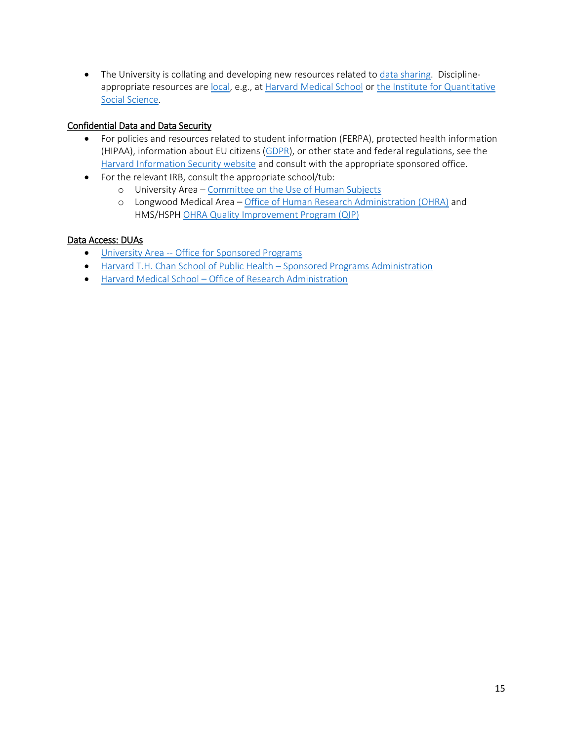• The University is collating and developing new resources related to [data sharing.](https://data.harvard.edu/) Disciplineappropriate resources are [local,](https://datascience.harvard.edu/community2) e.g., at [Harvard Medical School](https://datamanagement.hms.harvard.edu/) or the Institute for Quantitative [Social Science.](https://www.iq.harvard.edu/data-science-resources)

#### Confidential Data and Data Security

- For policies and resources related to student information (FERPA), protected health information (HIPAA), information about EU citizens [\(GDPR\)](https://eur-lex.europa.eu/legal-content/EN/TXT/?uri=CELEX%3A32016R0679), or other state and federal regulations, see the [Harvard Information Security website](https://policy.security.harvard.edu/) and consult with the appropriate sponsored office.
- <span id="page-14-0"></span>• For the relevant IRB, consult the appropriate school/tub:
	- o University Area [Committee on the Use of Human Subjects](https://cuhs.harvard.edu/)
	- o Longwood Medical Area [Office of Human Research Administration](https://hlc.harvard.edu/ohra/) (OHRA) and HMS/HSP[H OHRA Quality Improvement Program \(QIP\)](https://www.hsph.harvard.edu/ohra/quality-improvement-program-qip/)

#### <span id="page-14-1"></span>Data Access: DUAs

- University Area -- Office for [Sponsored Programs](mailto:dua@harvard.edu)
- [Harvard T.H. Chan School of Public Health](mailto:dua@hsph.harvard.edu)  Sponsored Programs Administration
- Harvard Medical School [Office of Research Administration](mailto:SPAContracts@hms.harvard.edu)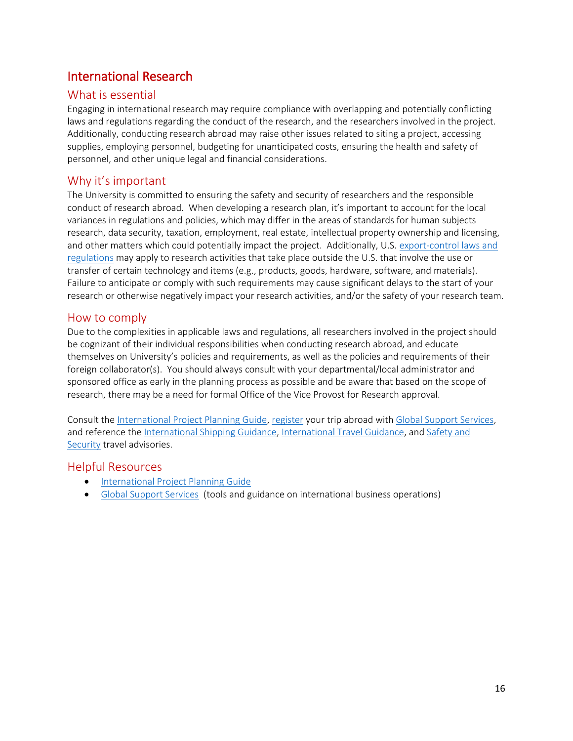# <span id="page-15-0"></span>International Research

# What is essential

Engaging in international research may require compliance with overlapping and potentially conflicting laws and regulations regarding the conduct of the research, and the researchers involved in the project. Additionally, conducting research abroad may raise other issues related to siting a project, accessing supplies, employing personnel, budgeting for unanticipated costs, ensuring the health and safety of personnel, and other unique legal and financial considerations.

# Why it's important

The University is committed to ensuring the safety and security of researchers and the responsible conduct of research abroad. When developing a research plan, it's important to account for the local variances in regulations and policies, which may differ in the areas of standards for human subjects research, data security, taxation, employment, real estate, intellectual property ownership and licensing, and other matters which could potentially impact the project. Additionally, U.S. [export-control laws and](http://vpr.harvard.edu/pages/export-controls-policies-and-procedures)  [regulations](http://vpr.harvard.edu/pages/export-controls-policies-and-procedures) may apply to research activities that take place outside the U.S. that involve the use or transfer of certain technology and items (e.g., products, goods, hardware, software, and materials). Failure to anticipate or comply with such requirements may cause significant delays to the start of your research or otherwise negatively impact your research activities, and/or the safety of your research team.

### How to comply

Due to the complexities in applicable laws and regulations, all researchers involved in the project should be cognizant of their individual responsibilities when conducting research abroad, and educate themselves on University's policies and requirements, as well as the policies and requirements of their foreign collaborator(s). You should always consult with your departmental/local administrator and sponsored office as early in the planning process as possible and be aware that based on the scope of research, there may be a need for formal Office of the Vice Provost for Research approval.

Consult the [International Project Planning Guide,](https://vpr.harvard.edu/international-research-project-planning-guide) [register](https://www.globalsupport.harvard.edu/travel-tools/harvard-travel-registry) your trip abroad with [Global Support Services,](http://www.globalsupport.harvard.edu/) and reference the [International Shipping Guidance,](https://vpr.harvard.edu/files/ovpr-test/files/international_shipping_pamphlet_11_8_17v2.pdf) [International Travel Guidance,](http://vpr.harvard.edu/files/ovpr-test/files/updated_international_travel_pamphlet_3_17_17.pdf) and [Safety and](https://www.globalsupport.harvard.edu/news-advice/safety-security)  [Security](https://www.globalsupport.harvard.edu/news-advice/safety-security) travel advisories.

- [International Project Planning Guide](https://vpr.harvard.edu/international-research-project-planning-guide)
- <span id="page-15-1"></span>• [Global Support Services](http://www.globalsupport.harvard.edu/) (tools and guidance on international business operations)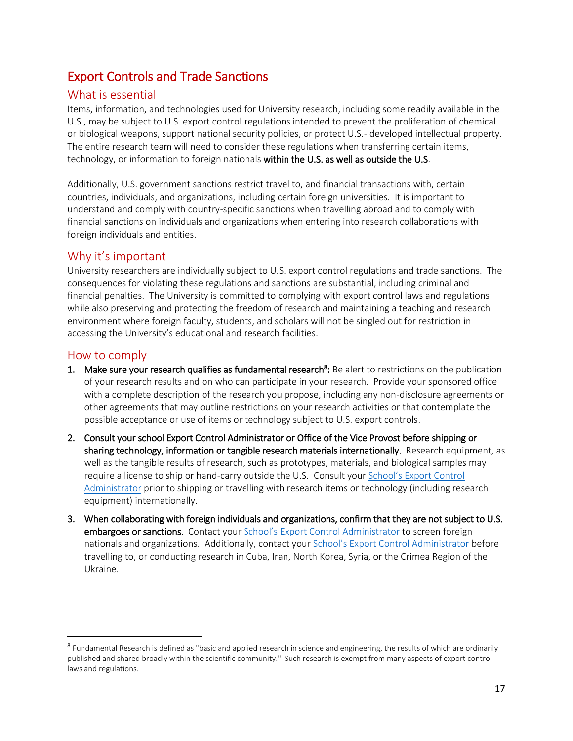# Export Controls and Trade Sanctions

# What is essential

Items, information, and technologies used for University research, including some readily available in the U.S., may be subject to U.S. export control regulations intended to prevent the proliferation of chemical or biological weapons, support national security policies, or protect U.S.- developed intellectual property. The entire research team will need to consider these regulations when transferring certain items, technology, or information to foreign nationals within the U.S. as well as outside the U.S.

Additionally, U.S. government sanctions restrict travel to, and financial transactions with, certain countries, individuals, and organizations, including certain foreign universities. It is important to understand and comply with country-specific sanctions when travelling abroad and to comply with financial sanctions on individuals and organizations when entering into research collaborations with foreign individuals and entities.

# Why it's important

University researchers are individually subject to U.S. export control regulations and trade sanctions. The consequences for violating these regulations and sanctions are substantial, including criminal and financial penalties. The University is committed to complying with export control laws and regulations while also preserving and protecting the freedom of research and maintaining a teaching and research environment where foreign faculty, students, and scholars will not be singled out for restriction in accessing the University's educational and research facilities.

# How to comply

l

- 1. Make sure your research qualifies as fundamental research<sup>8</sup>: Be alert to restrictions on the publication of your research results and on who can participate in your research. Provide your sponsored office with a complete description of the research you propose, including any non-disclosure agreements or other agreements that may outline restrictions on your research activities or that contemplate the possible acceptance or use of items or technology subject to U.S. export controls.
- 2. Consult your school Export Control Administrator or Office of the Vice Provost before shipping or sharing technology, information or tangible research materials internationally. Research equipment, as well as the tangible results of research, such as prototypes, materials, and biological samples may require a license to ship or hand-carry outside the U.S. Consult your S[chool's Export Control](https://vpr.harvard.edu/export-control-council-membersschool-export-control-officers)  [Administrator](https://vpr.harvard.edu/export-control-council-membersschool-export-control-officers) prior to shipping or travelling with research items or technology (including research equipment) internationally.
- 3. When collaborating with foreign individuals and organizations, confirm that they are not subject to U.S. embargoes or sanctions. Contact your School's Exp[ort Control Administrator](https://vpr.harvard.edu/export-control-council-membersschool-export-control-officers) to screen foreign nationals and organizations. Additionally, contact your S[chool's Export Control Administrator](https://vpr.harvard.edu/export-control-council-membersschool-export-control-officers) before travelling to, or conducting research in Cuba, Iran, North Korea, Syria, or the Crimea Region of the Ukraine.

<sup>&</sup>lt;sup>8</sup> Fundamental Research is defined as "basic and applied research in science and engineering, the results of which are ordinarily published and shared broadly within the scientific community." Such research is exempt from many aspects of export control laws and regulations.